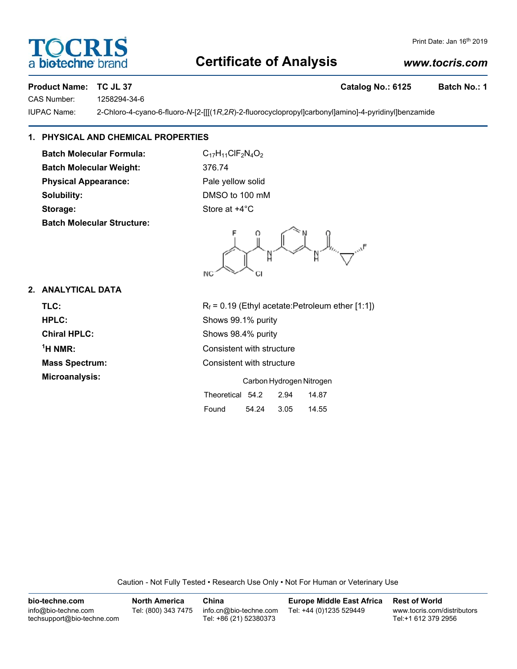## **Certificate of Analysis**

## *www.tocris.com*

Print Date: Jan 16<sup>th</sup> 2019

## **Product Name: TC JL 37 Catalog No.: 6125 Batch No.: 1**

CAS Number: 1258294-34-6

IUPAC Name: 2-Chloro-4-cyano-6-fluoro-*N*-[2-[[[(1*R*,2*R*)-2-fluorocyclopropyl]carbonyl]amino]-4-pyridinyl]benzamide

## **1. PHYSICAL AND CHEMICAL PROPERTIES**

**Batch Molecular Formula:** C<sub>17</sub>H<sub>11</sub>ClF<sub>2</sub>N<sub>4</sub>O<sub>2</sub> **Batch Molecular Weight:** 376.74 **Physical Appearance:** Pale yellow solid **Solubility:** DMSO to 100 mM **Storage:** Store at  $+4^{\circ}$ C **Batch Molecular Structure:**

NC

## **2. ANALYTICAL DATA**

**TLC:**  $R_f = 0.19$  (Ethyl acetate:Petroleum ether [1:1]) **HPLC:** Shows 99.1% purity **Chiral HPLC:** Shows 98.4% purity  $<sup>1</sup>H NMR$ :</sup> **Mass Spectrum:** Consistent with structure **Microanalysis:** Carbon Hydrogen Nitrogen

**Consistent with structure** Theoretical 54.2 2.94 14.87 Found 54.24 3.05 14.55

Caution - Not Fully Tested • Research Use Only • Not For Human or Veterinary Use

**bio-techne.com** info@bio-techne.com techsupport@bio-techne.com **North America** Tel: (800) 343 7475 **China** info.cn@bio-techne.com Tel: +86 (21) 52380373 **Europe Middle East Africa** Tel: +44 (0)1235 529449 **Rest of World** www.tocris.com/distributors Tel:+1 612 379 2956